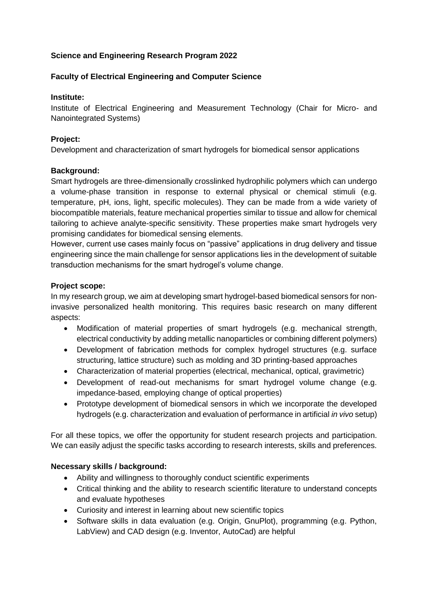# **Science and Engineering Research Program 2022**

## **Faculty of Electrical Engineering and Computer Science**

#### **Institute:**

Institute of Electrical Engineering and Measurement Technology (Chair for Micro- and Nanointegrated Systems)

## **Project:**

Development and characterization of smart hydrogels for biomedical sensor applications

#### **Background:**

Smart hydrogels are three-dimensionally crosslinked hydrophilic polymers which can undergo a volume-phase transition in response to external physical or chemical stimuli (e.g. temperature, pH, ions, light, specific molecules). They can be made from a wide variety of biocompatible materials, feature mechanical properties similar to tissue and allow for chemical tailoring to achieve analyte-specific sensitivity. These properties make smart hydrogels very promising candidates for biomedical sensing elements.

However, current use cases mainly focus on "passive" applications in drug delivery and tissue engineering since the main challenge for sensor applications lies in the development of suitable transduction mechanisms for the smart hydrogel's volume change.

#### **Project scope:**

In my research group, we aim at developing smart hydrogel-based biomedical sensors for noninvasive personalized health monitoring. This requires basic research on many different aspects:

- Modification of material properties of smart hydrogels (e.g. mechanical strength, electrical conductivity by adding metallic nanoparticles or combining different polymers)
- Development of fabrication methods for complex hydrogel structures (e.g. surface structuring, lattice structure) such as molding and 3D printing-based approaches
- Characterization of material properties (electrical, mechanical, optical, gravimetric)
- Development of read-out mechanisms for smart hydrogel volume change (e.g. impedance-based, employing change of optical properties)
- Prototype development of biomedical sensors in which we incorporate the developed hydrogels (e.g. characterization and evaluation of performance in artificial *in vivo* setup)

For all these topics, we offer the opportunity for student research projects and participation. We can easily adjust the specific tasks according to research interests, skills and preferences.

## **Necessary skills / background:**

- Ability and willingness to thoroughly conduct scientific experiments
- Critical thinking and the ability to research scientific literature to understand concepts and evaluate hypotheses
- Curiosity and interest in learning about new scientific topics
- Software skills in data evaluation (e.g. Origin, GnuPlot), programming (e.g. Python, LabView) and CAD design (e.g. Inventor, AutoCad) are helpful